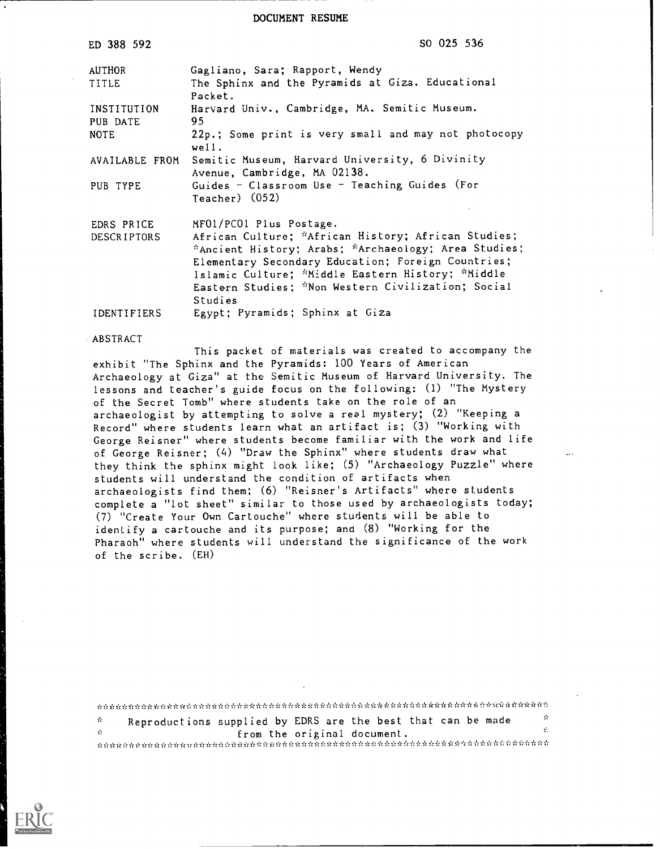DOCUMENT RESUME

| ED 388 592              | SO 025 536                                                                                                                                                                                                                                                                              |
|-------------------------|-----------------------------------------------------------------------------------------------------------------------------------------------------------------------------------------------------------------------------------------------------------------------------------------|
| <b>AUTHOR</b>           | Gagliano, Sara; Rapport, Wendy                                                                                                                                                                                                                                                          |
| TITLE                   | The Sphinx and the Pyramids at Giza. Educational<br>Packet.                                                                                                                                                                                                                             |
| INSTITUTION<br>PUB DATE | Harvard Univ., Cambridge, MA. Semitic Museum.<br>95                                                                                                                                                                                                                                     |
| <b>NOTE</b>             | 22p.; Some print is very small and may not photocopy<br>well.                                                                                                                                                                                                                           |
| AVAILABLE FROM          | Semitic Museum, Harvard University, 6 Divinity<br>Avenue, Cambridge, MA 02138.                                                                                                                                                                                                          |
| PUB TYPE                | Guides - Classroom Use - Teaching Guides (For<br>$Teacher)$ $(052)$                                                                                                                                                                                                                     |
| EDRS PRICE              | MF01/PC01 Plus Postage.                                                                                                                                                                                                                                                                 |
| <b>DESCRIPTORS</b>      | African Culture; *African History; African Studies;<br>*Ancient History; Arabs; *Archaeology; Area Studies;<br>Elementary Secondary Education; Foreign Countries;<br>Islamic Culture; *Middle Eastern History; *Middle<br>Eastern Studies; *Non Western Civilization; Social<br>Studies |
| <b>IDENTIFIERS</b>      | Egypt; Pyramids; Sphinx at Giza                                                                                                                                                                                                                                                         |

#### ABSTRACT

This packet of materials was created to accompany the exhibit "The Sphinx and the Pyramids: 100 Years of American Archaeology at Giza" at the Semitic Museum of Harvard University. The lessons and teacher's guide focus on the following: (1) "The Mystery of the Secret Tomb" where students take on the role of an archaeologist by attempting to solve a real mystery; (2) "Keeping a Record" where students learn what an artifact is; (3) "Working with George Reisner" where students become familiar with the work and life of George Reisner; (4) "Draw the Sphinx" where students draw what they think the sphinx might look like; (5) "Archaeology Puzzle" where students will understand the condition of artifacts when archaeologists find them; (6) "Reisner's Artifacts" where students complete a "lot sheet" similar to those used by archaeologists today; (7) "Create Your Own Cartouche" where students will be able to identify a cartouche and its purpose; and (8) "Working for the Pharaoh" where students will understand the significance of the work of the scribe. (EH)

\*\*\*\*\*\*\*:,.\*\*\*\*\*\*\*.!: \* Reproductions supplied by EDRS are the best that can be made  $\frac{1}{2}$  $\frac{1}{2}$  from the original document.  $\frac{1}{2}$  from the original document. \*

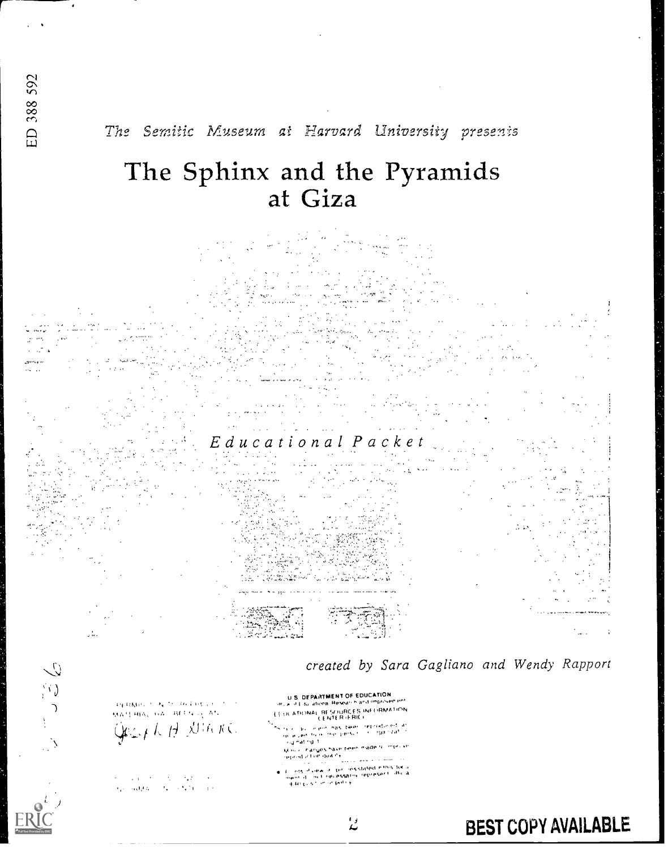$\tilde{U}$ 

 $\left(\frac{\sqrt{2}}{2}\right)$ 

### The Semitic Museum at Harvard University presenis

# The Sphinx and the Pyramids at Giza

Educational Packet

**AM** 422 September

created by Sara Gagliano and Wendy Rapport

PERMIS TON TO PHENO CO. MAILBIAL HALLBERG, AN George H. Himmel

 $\sim 10^{-10}$  M  $_{\odot}$  $\mathcal{L}(\mathcal{A}) = \mathcal{L}(\mathcal{A}) = \mathcal{A}$  . **FLOORING CONTRACTOR**  $\sim$ 

### U.S. DEPARTMENT OF EDUCATION

The point of the content of the particle of the content of the particle of the content of the content of the second of the second of the second of the second of the second of the second of the second of the second of the s

- ivý nating. Eli
- ing has not<br>special changes have been made to improve<br>reproduction good the special component a ann an
- fill wis Hulew of the Insistated ethistical<br>Imam di Incit necessariiv represent little a<br>Infikingus tion witkilitiv

ر ،

**BEST COPY AVAILABLE**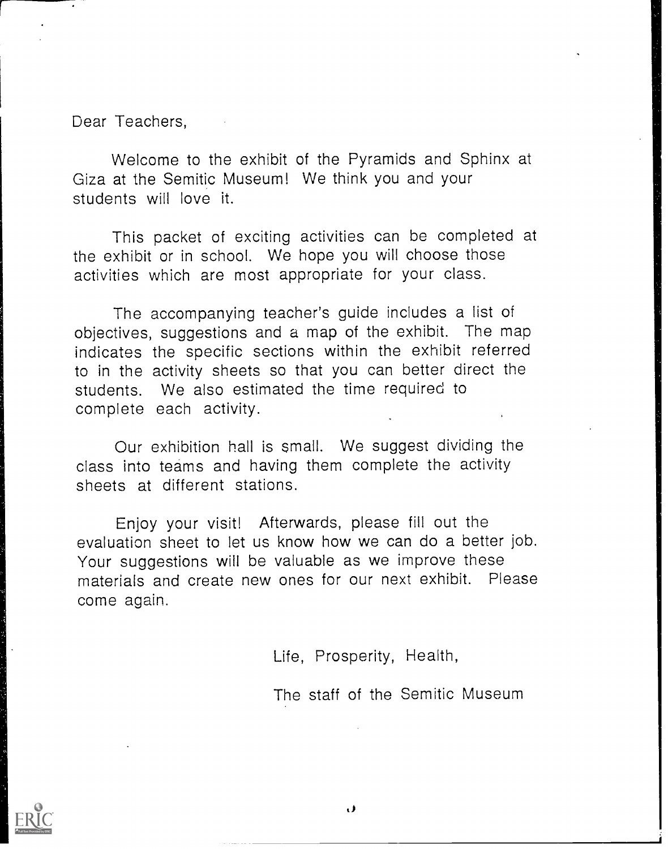Dear Teachers,

Welcome to the exhibit of the Pyramids and Sphinx at Giza at the Semitic Museum! We think you and your students will love it.

This packet of exciting activities can be completed at the exhibit or in school. We hope you will choose those activities which are most appropriate for your class.

The accompanying teacher's guide includes a list of objectives, suggestions and a map of the exhibit. The map indicates the specific sections within the exhibit referred to in the activity sheets so that you can better direct the students. We also estimated the time required to complete each activity.

Our exhibition hall is small. We suggest dividing the class into teams and having them complete the activity sheets at different stations.

Enjoy your visit! Afterwards, please fill out the evaluation sheet to let us know how we can do a better job. Your suggestions will be valuable as we improve these materials and create new ones for our next exhibit. Please come again.

Life, Prosperity, Health,

The staff of the Semitic Museum



Ó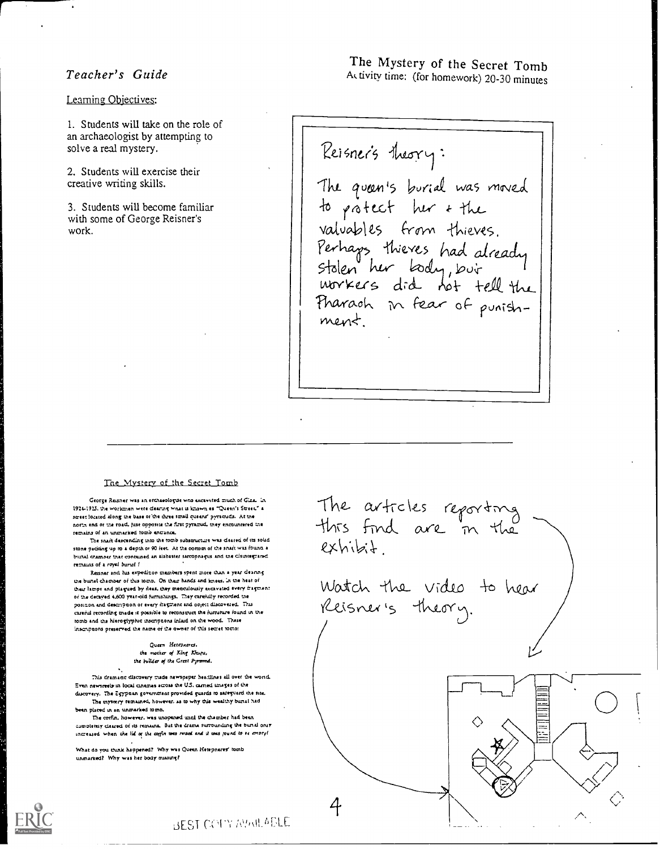#### Learning Objectives:

1. Students will take on the role of an archaeologist by attempting to solve a real mystery.

2. Students will exercise their creative writing skills.

3. Students will become familiar with some of George Reisner's work.

The Mystery of the Secret Tomb Activity time: (for homework) 20-30 minutes

Reisner's theory: The quants burial was moved<br>to protect her + the valuables from thieves. Perhaps thieres had already<br>stolen her body, but Pharaoh in fear of punishment.

The articles reporting<br>this find are in the

Watch the video to hear

Reisner's theory.

 $exhibi+$ 

4

#### The Mystery of the Secret Tomb

George Reisner was an erchaeologise who excavated much of Giza. In 1924-1925, the workmen were clearing what is known as "Queen's Street" a screet located along the base of the dure small queens' pyractics. At the north and or the road, just opposite the first pyramid, they encountered the remains of an unmarked tomb entrance.

The snaft descending into the tomb substructure was deared of its solid stone packing up to a depth or 90 feet. At the commen of the snaft was found a burial cramoer that contained an alabaster sarcophagus and the disintegrand remains of a royal buriet !

Reisner and his expedition members spent more than a year dearing the burial chamber of this toms. On their hands and knees, in the heat of their lamps and plaqued by ileas, they menculously excavated every fragment or the decayed 4,600 year-old furnishings. They carefully recorded the position and description or every magnent and object discovered. This careful recording made it possible to reconstruct the furniture found in the tomb and the hieroglyphic inscriptions inlaid on the wood. These inscriptions preserved the name of the owner of this secret tomo:

> Queen Hetepatres. the mather of King Kituru. the builder of the Great Piramid.

This dramatic discovery made newspaper headlines all over the world. firen newtreels in local cinemas across the U.S. carried images of the discovery. The Egyptian governatent provided guards to safeguerd the site.

The mystery remained, however, as to why this wealthy burial had been placed in an unmarked tomo. The corfin, however, was unopened until the chamber had been

completely cleared of its remains. But the drama surrounding the burial only increased when the lid of the coffin was reised and it was journd to be critery!

What do you think happened? Why was Queen Hetepneres' tomb unmarked? Why was her body missing?



**BEST COPY AVAILABLE**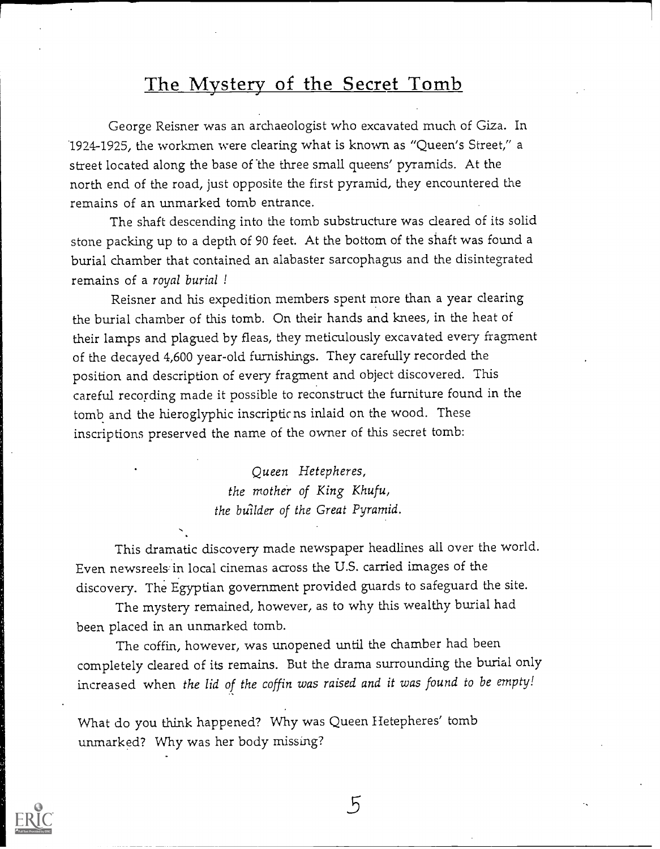### The Mystery of the Secret Tomb

George Reisner was an archaeologist who excavated much of Giza. In 1924-1925, the workmen were clearing what is known as "Queen's Street," a street located along the base of the three small queens' pyramids. At the north end of the road, just opposite the first pyramid, they encountered the remains of an unmarked tomb entrance.

The shaft descending into the tomb substructure was cleared of its solid stone packing up to a depth of 90 feet. At the bottom of the shaft was found a burial chamber that contained an alabaster sarcophagus and the disintegrated remains of a royal burial !

Reisner and his expedition members spent more than a year clearing the burial chamber of this tomb. On their hands and knees, in the heat of their lamps and plagued by fleas, they meticulously excavated every fragment of the decayed 4,600 year-old furnishings. They carefully recorded the position and description of every fragment and object discovered. This careful recording made it possible to reconstruct the furniture found in the tomb and the hieroglyphic inscripticns inlaid on the wood. These inscriptions preserved the name of the owner of this secret tomb:

> Queen Hetepheres, the mother of King Khufu, the builder of the Great Pyramid.

This dramatic discovery made newspaper headlines all over the world. Even newsreels in local cinemas across the U.S. carried images of the discovery. The Egyptian government provided guards to safeguard the site.

The mystery remained, however, as to why this wealthy burial had been placed in an unmarked tomb.

The coffin, however, was unopened until the chamber had been completely cleared of its remains. But the drama surrounding the burial only increased when the lid of the coffin was raised and it was found to be empty!

What do you think happened? Why was Queen Hetepheres' tomb unmarked? Why was her body missing?



 $5\overline{5}$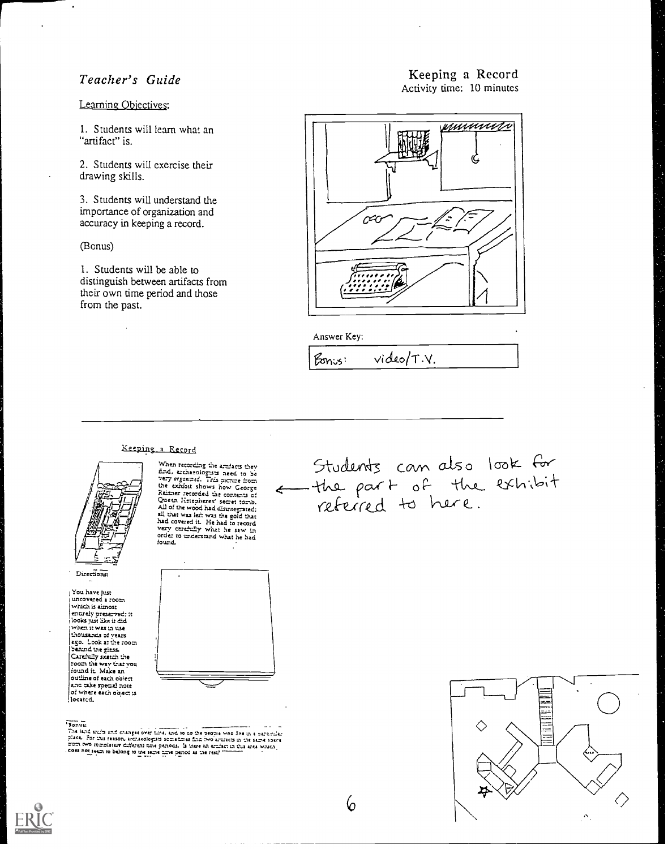#### Learning Objectives:

1. Students will learn what an "artifact" is.

2. Students will exercise their drawing skills.

3. Students will understand the importance of organization and accuracy in keeping a record.

(Bonus)

1. Students will be able to distinguish between artifacts from their own time period and those from the past.

Keeping a Record Activity time: 10 minutes



Answer Key:

6

video/T.V. Fonis:

#### Keeping a Record



 $Direc\overline{\text{ions}}$ 

You have just<br>juncovered a room which is aimost entrely preserved; it<br>|entrely preserved; it<br>|looks just like it did When it was in use<br>|thousands of years ago. Look at the room<br>benind the giass. Carefully sketch the room the way that you found it. Make an outline of each phiers and take special note of where each object is

When recording the artifacts they ness recording the districts they<br>find, archaeologists need to be<br>very organized. This picture from The existing of the second the extended the existence Reimer recorded the contents of Queen Histopheres' secret tornb.<br>All of the wood had disantegrated; All of the wood had disantegrated; and the wood had distintegrated;<br>all that was left was the gold that<br>had covered it. He had to record<br>very carefully what he saw in order to understand what he had found

| л |  |
|---|--|
|   |  |
| Ξ |  |

Formula and the computer of the proof of the tensor of the proof of the proof of the computer of the computer of the computer of the computer of the computer of the computer of the computer of the computer of the computer

Students can also look for<br>- the part of the exhibit<br>referred to here.  $\leftarrow$ 



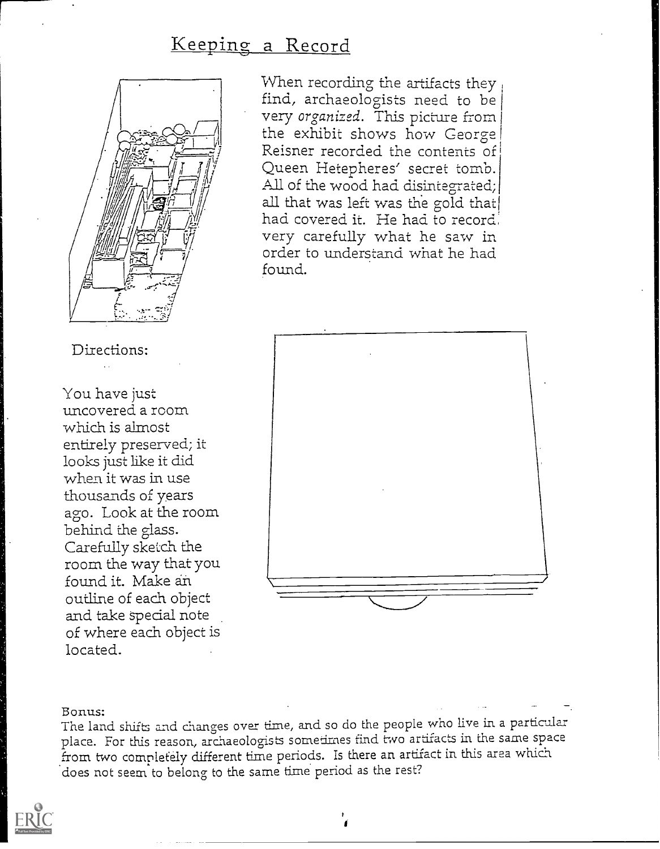### Keeping a Record



### Directions:

You have just uncovered a room which is almost entirely preserved; it looks just like it did when it was in use thousands of years ago. Look at the room behind the glass. Carefully sketch the room the way that you found it. Make an outline of each object and take special note of where each object is located.

When recording the artifacts they find, archaeologists need to be very organized. This picture from the exhibit shows how George Reisner recorded the contents of Queen Hetepheres' secret tomb. All of the wood had disintegrated; all that was left was the gold that had covered it. He had to record very carefully what he saw in order to understand what he had found.



#### Bonus:

The land shifts and changes over time, and so do the people who live in a particular place. For this reason, archaeologists sometimes find two artifacts in the same space from two completely different time periods. Is there an artifact in this area which does not seem to belong to the same time period as the rest?

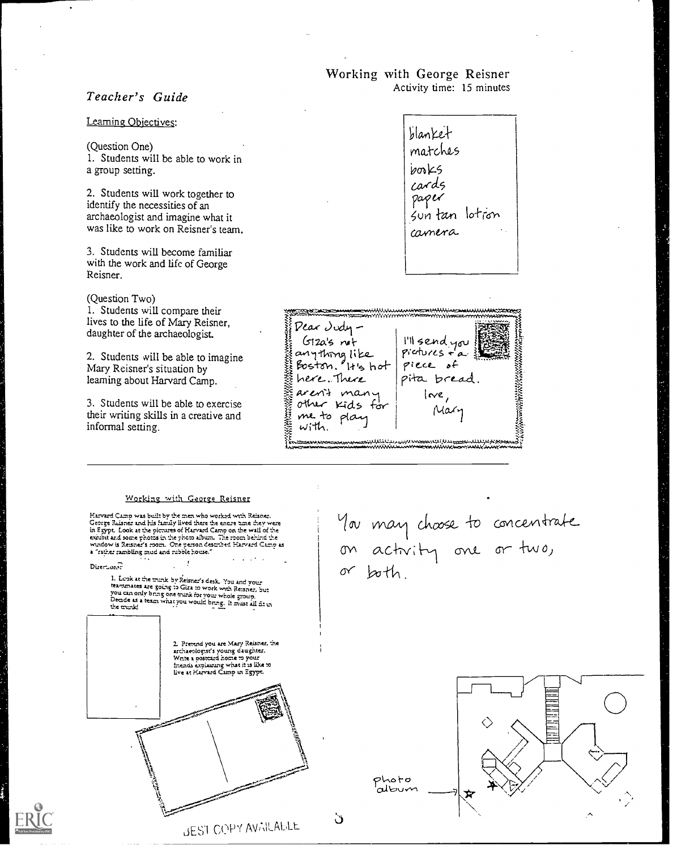#### Working with George Reisner Activity time: 15 minutes

#### Teacher's Guide

#### Learning Objectives:

#### (Question One)

1. Students will be able to work in a group setting.

2. Students will work together to identify the necessities of an archaeologist and imagine what it was like to work on Reisner's team.

3. Students will become familiar with the work and life of George Reisner.

(Question Two)

1. Students will compare their lives to the life of Mary Reisner, daughter of the archaeologist.

2. Students will be able to imagine Mary Reisner's situation by leaming about Harvard Camp.

3. Students will be able to exercise their writing skills in a creative and informal setting.

### blanket matches  $b$ onks cards paper suntan lotion camera

Dear Judy-I'll send you  $612a^3$ s not  $picture + a$ anything like piece of Boston. <sup>0</sup>It's hot here. There pita bread. aren't many  $|vec,$ other kids for Mary me to play  $with.$ 

#### Working with George Reisner

Harvard Camp was built by the men who worked with Reisner. George Ruisner and his family lived there the enere here they were in Egypt. Look at the pictures of Harvard Camp on the wall of the except a some photos in the photo album. The room behind the except and some photos in the photo album. The room behind the window is Reisner's room. One person described Harvard Camp as a "rather rambling mud and rubble h

Directions?

I. Look at the trunk by Reisner's desk. You and your teammates are going to Giza to work with Reisner, but you can only bring one trunk for your whole group.<br>You can only bring one trunk for your whole group.<br>Decide as a

2. Pretend you are Mary Reisner, the ar recharged as seen recharged and the archaeologist's young daughter. friends explaining what it is like to<br>live at Harvard Camp in Egypt.





ن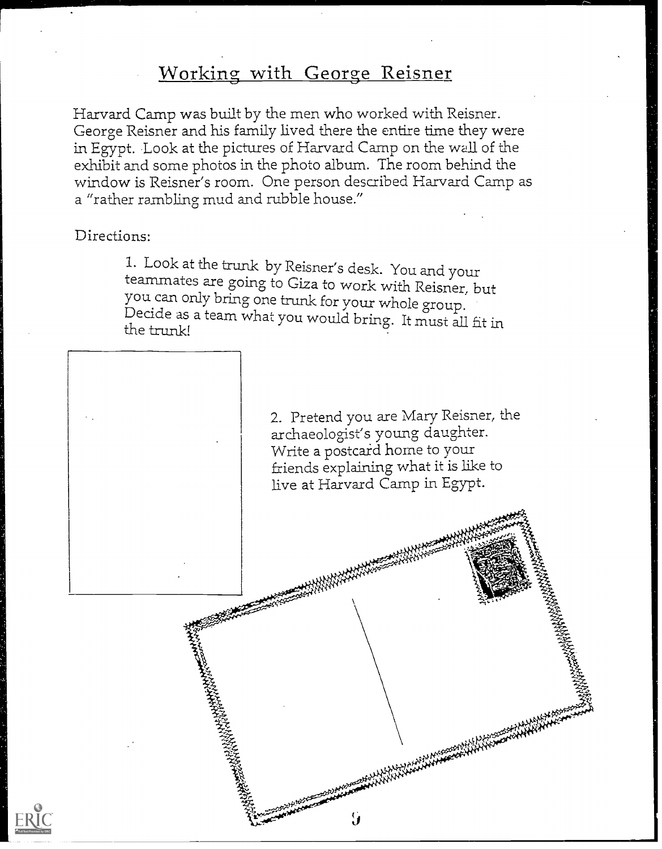### Working with George Reisner

Harvard Camp was built by the men who worked with Reisner. George Reisner and his family lived there the entire time they were in Egypt. Look at the pictures of Harvard Camp on the wall of the exhibit and some photos in the photo album. The room behind the window is Reisner's room. One person described Harvard Camp as a "rather rambling mud and rubble house."

#### Directions:

1. Look at the trunk by Reisner's desk. You and your<br>teammates are going to Giza to work with Reisner, but<br>you can only bring one trunk for your whole group.<br>Decide as a team what you would bring. It must all fit in<br>the tr



 $\mathbf{\hat{J}}$ 

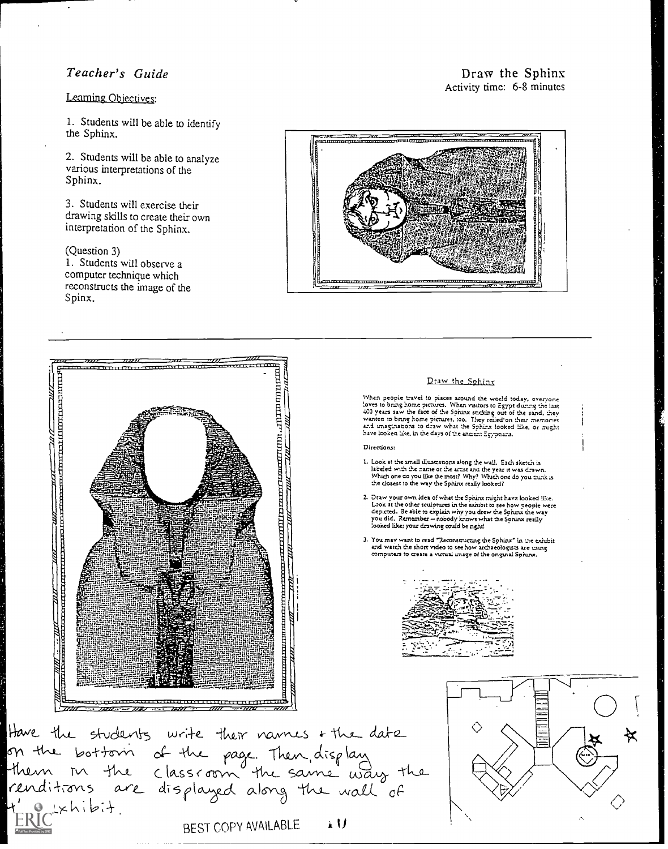#### Learning Objectives:

#### 1. Students will be able to identify the Sphinx.

2. Students will be able to analyze various interpretations of the Sphinx.

3. Students will exercise their drawing skills to create their own interpretation of the Sphinx.

(Question 3) 1. Students will observe a computer technique which reconstructs the image of the Spinx.

#### Draw the Sphinx Activity time: 6-8 minutes





#### Draw the Sphinx

When people travel to places around the world today, everyone loves to bring home pictures. When visitors to Egypt during the last 400 years saw the face of the sond, they wanted to bring home pictures, too. They relied on

Directions:

- 1. Look at the small illustrations along the wall. Each sketch is labeled with the name of the artist and the year it was drawn.<br>Which one do you like the most? Why? Which one do you trunk is the closest to the way the Sphirx really looked?
- 2. Draw your own idea of what the Sphinx might have looked like.<br>Look at the other sculptures in the exhibit to see how people were Level and Search American and the country of the Sphinx the way you did. Remember -- nobody knows what the Sphinx resily looked like; your drawing could be right!
- 3. You may want to read "Reconstructing the Sphirts" in the exhibit and watch the short video to see how archaeologists are using computers to create a virtual image of the original Sphirx.





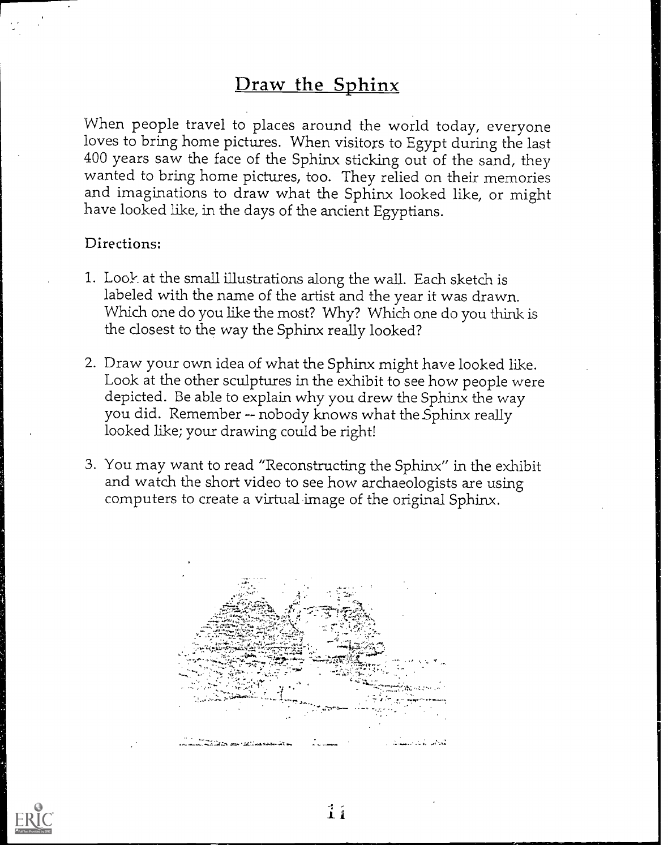### Draw the Sphinx

When people travel to places around the world today, everyone loves to bring home pictures. When visitors to Egypt during the last 400 years saw the face of the Sphinx sticking out of the sand, they wanted to bring home pictures, too. They relied on their memories and imaginations to draw what the Sphinx looked like, or might have looked like, in the days of the ancient Egyptians.

#### Directions:

- 1. Look at the small illustrations along the wall. Each sketch is labeled with the name of the artist and the year it was drawn. Which one do you like the most? Why? Which one do you think is the closest to the way the Sphinx really looked?
- 2. Draw your own idea of what the Sphinx might have looked like. Look at the other sculptures in the exhibit to see how people were depicted. Be able to explain why you drew the Sphinx the way you did. Remember -- nobody knows what the Sphinx really looked like; your drawing could be right!
- 3. You may want to read "Reconstructing the Sphinx" in the exhibit and watch the short video to see how archaeologists are using computers to create a virtual image of the original Sphinx.



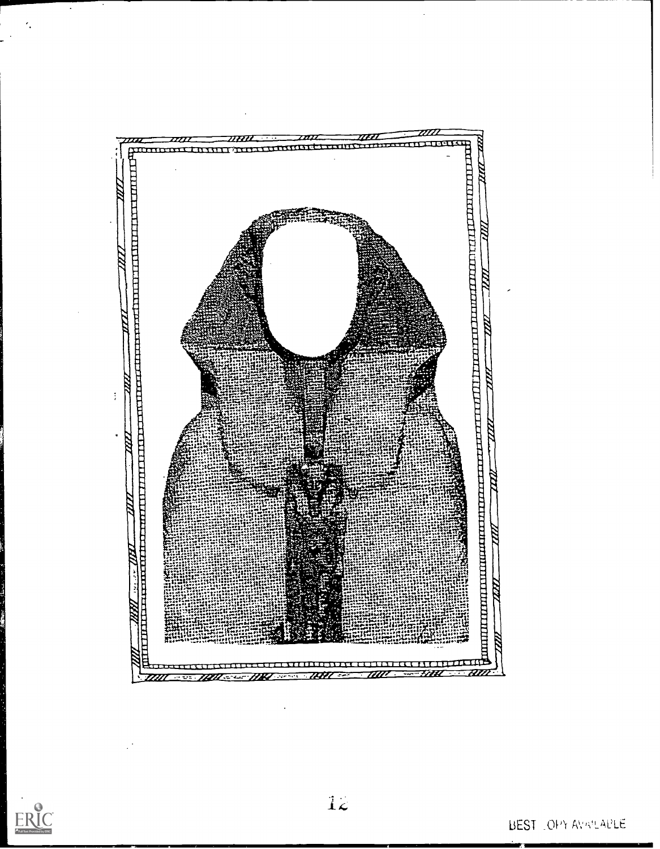



BEST LOPY AVAILABLE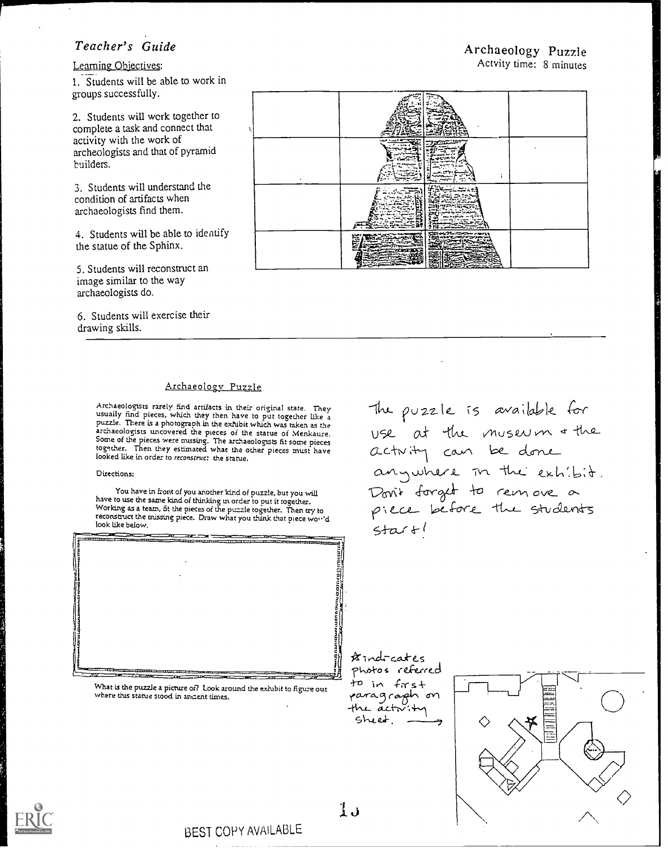Learning Objectives:

1. Students will be able to work in groups successfully.

3. Students will understand the condition of artifacts when archaeologists find them.

4. Students will be able to identify the statue of the Sphinx.

5. Students will reconstruct an image similar to the way archaeologists do.

6. Students will exercise their drawing skills.

#### Archaeology Puzzle

Archaeologists rarely find artifacts in their original state. They usually find pieces, which they then have to put together like a puzzle. There is a photograph in the exhibit which was taken as the archaeologists uncovered the pieces of the statue of Menkaure.<br>Some of the pieces were mussing. The archaeologists fit some pieces together. Then they estimated what the other pieces must have looked like in order to reconstruct the statue.

#### Directions:

You have in front of you another kind of puzzle, but you will have to use the same kind of thinking in order to put it together. Working as a team, fit the pieces of the punnle together. Then try to reconstruct the missing piece. Draw what you think that piece wor'd look like below.

The puzzle is available for use at the museum + the activity can be done<br>anywhere in the exhibit.<br>Don't forget to remove a<br>piece before the students  $start$ 

What is the puzzle a picture of? Look around the exiubit to figure out where this statue stood in ancient times.









 $1_{\rm d}$ 

*Andreates* 

to in first

sheet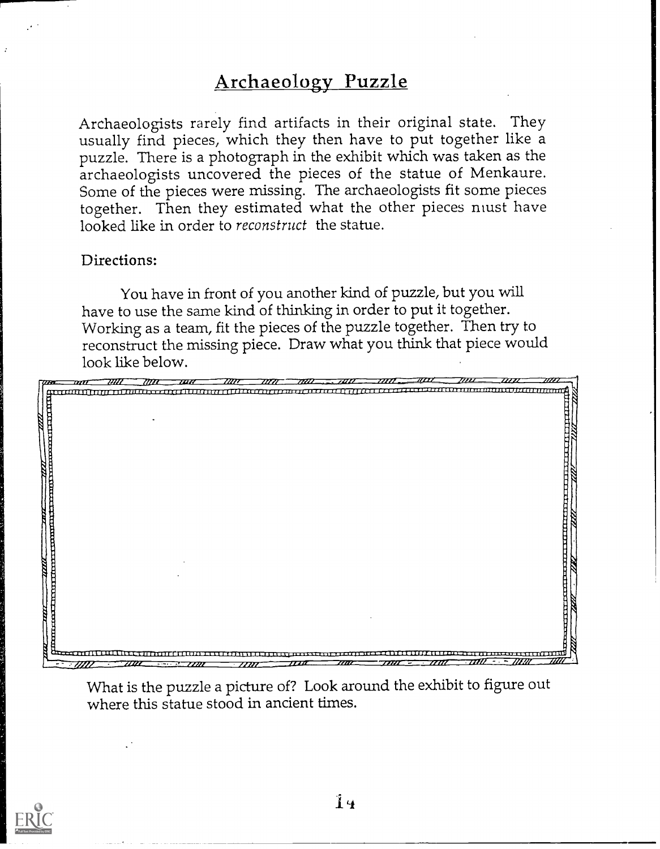### Archaeology Puzzle

Archaeologists rarely find artifacts in their original state. They usually find pieces, which they then have to put together like a puzzle. There is a photograph in the exhibit which was taken as the archaeologists uncovered the pieces of the statue of Menkaure. Some of the pieces were missing. The archaeologists fit some pieces together. Then they estimated what the other pieces must have looked like in order to reconstruct the statue.

#### Directions:

You have in front of you another kind of puzzle, but you will have to use the same kind of thinking in order to put it together. Working as a team, fit the pieces of the puzzle together. Then try to reconstruct the missing piece. Draw what you think that piece would look like below.



What is the puzzle a picture of? Look around the exhibit to figure out where this statue stood in ancient times.

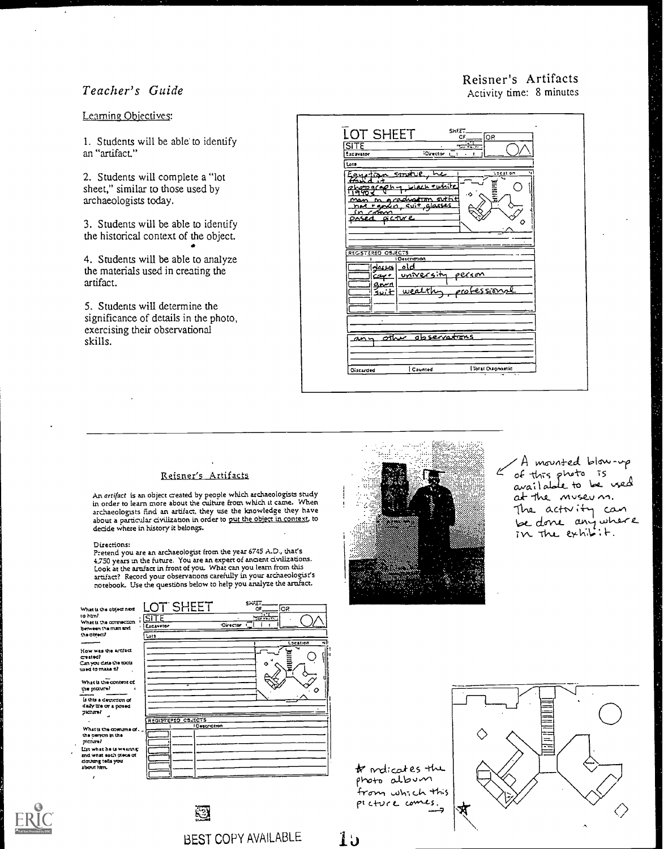#### Reisner's Artifacts Activity time: 8 minutes

Learning Objectives:

1. Students will be able to identify an "artifact."

2. Students will complete a "lot sheet," similar to those used by archaeologists today.

3. Students will be able to identify the historical context of the object.

4. Students will be able to analyze the materials used in creating the artifact.

5. Students will determine the significance of details in the photo, exercising their observational skills.

| Excavator<br>Lots            | Cirector (                                                                                      |                                        |
|------------------------------|-------------------------------------------------------------------------------------------------|----------------------------------------|
| መባርቀራሉ ፡<br>camo<br>essed    | STORUE<br>معما<br><u>Liach eubite</u><br>tom svt6+<br>$\overline{\text{Sut}}$ slasses<br>acture | <b>Location</b><br>۰.۱<br>∼<br>Ē<br>۰٥ |
| REGISTERED OBJECTS<br>يبرعمه | <b>Description</b><br>ه اه<br><u>universit</u><br>wealt                                         | <u>berrav</u><br>erofession            |
| ł.<br>$\overline{a}$         | other observations                                                                              |                                        |

#### Reisner's Artifacts

An artifact is an object created by people which archaeologists study<br>in order to learn more about the culture from which it came. When<br>archaeologists find an artifact, they use the knowledge they have<br>about a particular c decide where in history it belongs.

#### Directions:

Pretend you are an archaeologist from the year 6745 A.D., that's Account of the future. You are an expert of ancient civilizations.<br>Look at the artifact in front of you. What can you learn from this<br>artifact? Record your observations carefully in your archaeologist's notebook. Use the questions below to help you analyze the artifact.

| What is the object next<br>ta himi<br>What is the commedium<br>between the main and<br>the object? | LOT SHEET<br><b>SITE</b><br><b>Excavator</b><br>13هيا | SHATT.<br>OP.<br>OF.<br>7.77777777<br>Oirector ( |
|----------------------------------------------------------------------------------------------------|-------------------------------------------------------|--------------------------------------------------|
|                                                                                                    |                                                       | Location                                         |
| How was the artifact<br>crated?                                                                    |                                                       |                                                  |
| Can you date the tools<br>used to make to                                                          |                                                       |                                                  |
| What is the content of<br>the picture?                                                             |                                                       |                                                  |
| is this a depiction of<br>daily life or a posed<br>picture?                                        |                                                       |                                                  |
|                                                                                                    | REGISTEPED CBJECTS                                    |                                                  |
|                                                                                                    | 1 Coscriction                                         |                                                  |
| What is the comume of.<br>the <del>cerron</del> in the<br>please?                                  |                                                       |                                                  |
| List what he is wearing                                                                            |                                                       |                                                  |
| and what each piece of                                                                             |                                                       |                                                  |
| doubing tolis you                                                                                  |                                                       |                                                  |
| about him.                                                                                         |                                                       |                                                  |
| $\cdot$                                                                                            |                                                       |                                                  |

BEST COPY AVAILABLE



A mounted blow-up of this photo is available to be used at the museum. The activity can be done anywhere

\* noticates the photo album from which this picture comes.

 $1$ .)



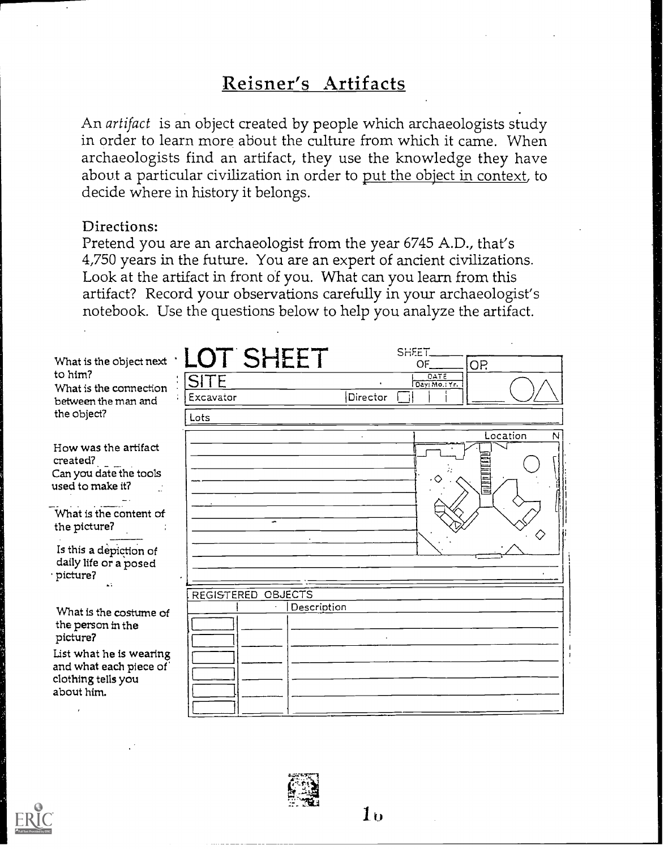### Reisner's Artifacts

An artifact is an object created by people which archaeologists study in order to learn more about the culture from which it came. When archaeologists find an artifact, they use the knowledge they have about a particular civilization in order to put the object in context, to decide where in history it belongs.

#### Directions:

Pretend you are an archaeologist from the year 6745 A.D., that's 4,750 years in the future. You are an expert of ancient civilizations. Look at the artifact in front of you. What can you learn from this artifact? Record your observations carefully in your archaeologist's notebook. Use the questions below to help you analyze the artifact.

| to him?<br>What is the connection<br>between the man and                              | What is the object next ' LOT' SHEET<br><b>SITE</b><br>Director<br>Excavator | <b>SHEET</b><br>OP.<br>OF.<br>$\overline{OATE}$<br>Dayl Mo. Yr. |
|---------------------------------------------------------------------------------------|------------------------------------------------------------------------------|-----------------------------------------------------------------|
| the object?                                                                           | Lots                                                                         |                                                                 |
| How was the artifact<br>created?<br>Can you date the tools<br>used to make it?        |                                                                              | Location<br>$\cdot \diamond$                                    |
| What is the content of<br>the picture?                                                |                                                                              |                                                                 |
| Is this a depiction of<br>daily life or a posed<br>picture?<br>s.                     |                                                                              |                                                                 |
|                                                                                       | REGISTERED OBJECTS                                                           |                                                                 |
| What is the costume of<br>the person in the<br>picture?                               | Description                                                                  |                                                                 |
| List what he is wearing<br>and what each piece of<br>clothing tells you<br>about him. |                                                                              |                                                                 |



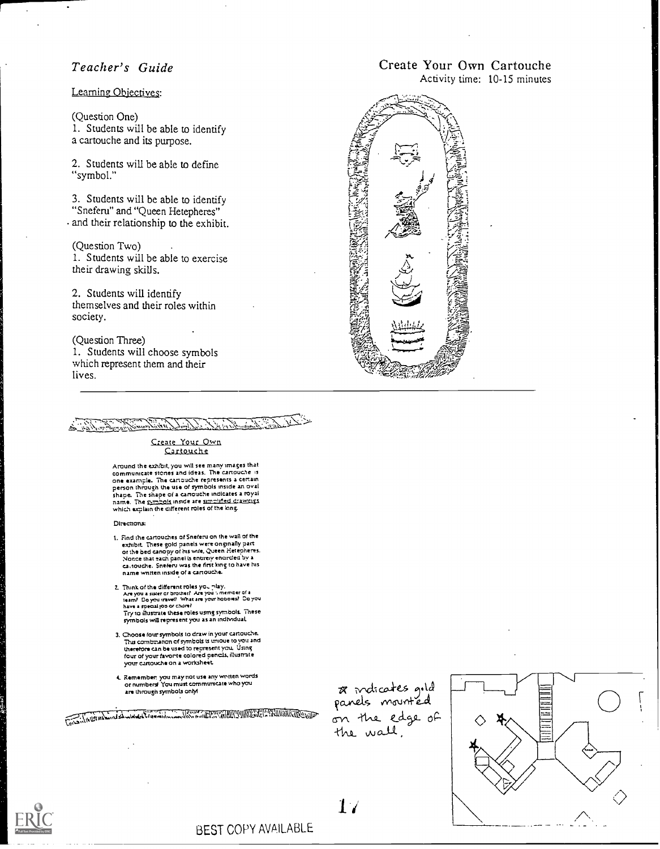#### Learning Objectives:

(Question One) 1. Students will be able to identify a cartouche and its purpose.

2. Students will be able to define "symbol."

3. Students will be able to identify "Sneferu" and "Queen Hetepheres" and their relationship to the exhibit.

(Question Two) 1. Students will be able to exercise their drawing skills.

2. Students will identify themselves and their roles within society.

(Question Three) 1. Students will choose symbols which represent them and their lives.

## Create Your Own Cartouche





Create Your Own Cartouche

Around the exhibit, you will see many images that<br>communicate stones and ideas. The carrouche is<br>one example. The carrouche represents a certain one example. The carious of symbols inside an oval<br>shape. The shape of a carrouche indicates a royal<br>shape. The shape of a carrouche indicates a royal<br>name. The symbols inside are simplified drawings. which explain the different roles of the king.

#### Directions:

- 1. Find the cartouches of Sneferu on the wall of the<br>exhibit. These gold panels were onginally part<br>or the bed canopy of ins wife, Queen rietepheres.<br>Notice that each panel is entirely encircled by a ca, touche. Sneferu was the first king to have his
- 2. Think of the different roles you hlay.<br>Are you a sixer or brother? Are you is member of a<br>team? Do you univer? What are your holones? Do you<br>have a special job or chure? have a special for or clurer<br>Try to illustrate these roles using symbols. These<br>symbols will represent you as an individual.
- 3. Choose four symbols to draw in your cartouche. This comment is seen to what it will be commented by the first the three three three three three three three three three forms four of your favorite colored pencils, illustrate your cartouche on a worksheet.
- 4. Remember: you may not use any written words<br>or numbers! You must communicate who you are through symbols only

The UT of the and and 24 model to the minimum of the minimum and the CHANGE OF THE CONFERENCE OF THE CONFERENCE

\* indicates gold<br>panels mounted on the edge of





 $17$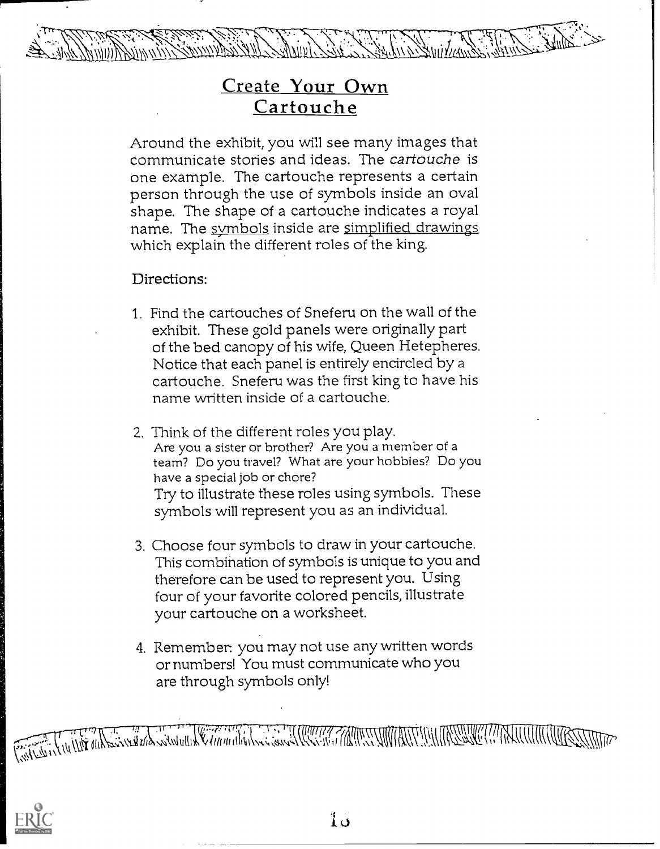

## Create Your Own Cartouche

Around the exhibit, you will see many images that communicate stories and ideas. The cartouche is one example. The cartouche represents a certain person through the use of symbols inside an oval shape. The shape of a cartouche indicates a royal name. The symbols inside are simplified drawings which explain the different roles of the king.

### Directions:

- 1. Find the cartouches of Sneferu on the wall of the exhibit. These gold panels were originally part of the bed canopy of his wife, Queen Hetepheres. Notice that each panel is entirely encircled by a cartouche. Sneferu was the first king to have his name written inside of a cartouche.
- 2. Think of the different roles you play. Are you a sister or brother? Are you a member of a team? Do you travel? What are your hobbies? Do you have a special job or chore? Try to illustrate these roles using symbols. These symbols will represent you as an individual.
- 3. Choose four symbols to draw in your cartouche. This combination of symbols is unique to you and therefore can be used to represent you. Using four of your favorite colored pencils, illustrate your cartouche on a worksheet.
- 4. Remember you may not use any written words or numbers! You must communicate who you are through symbols only!

1/1Uti T.71. <sup>t</sup> Nk4:1,\\k`- kt4:\ Ikt (

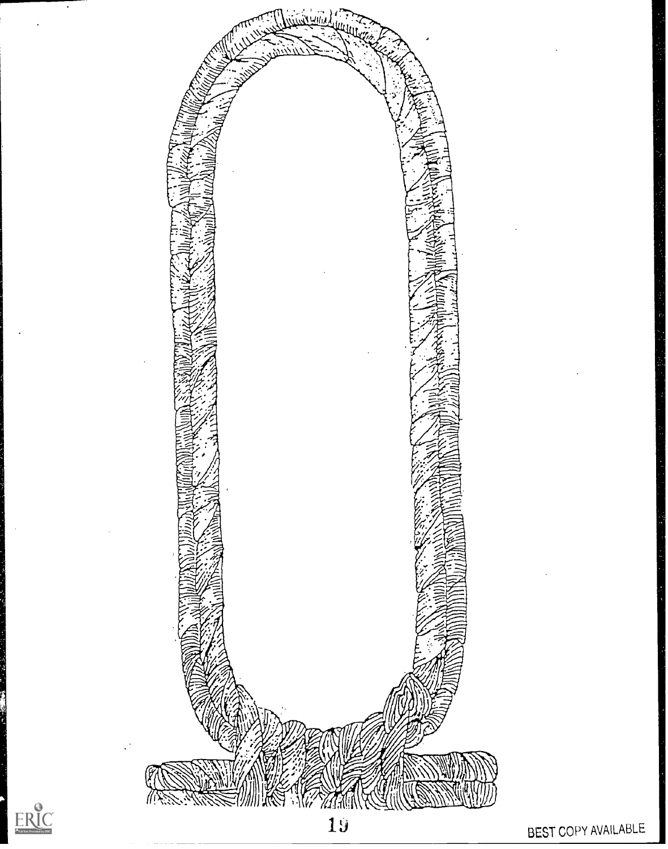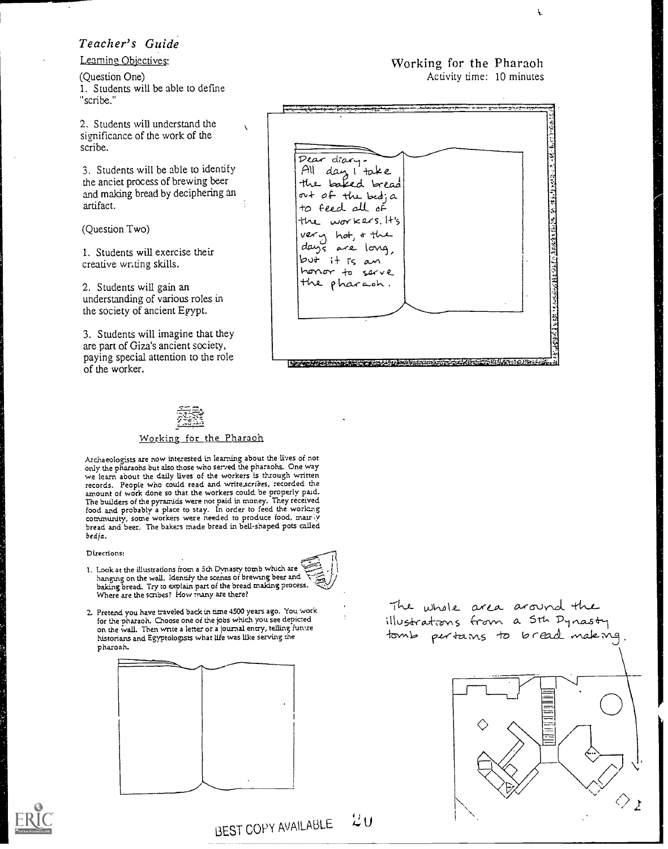Learning Objectives:

(Question One) 1. Students will be able to define "scribe."

2. Students will understand the significance of the work of the scribe.

3. Students will be able to identify the anciet process of brewing beer and making bread by deciphering an artifact.

(Question Two)

1. Students will exercise their creative writing skills.

2. Students will gain an understanding of various roles in the society of ancient Egypt.

3. Students will imagine that they are part of Giza's ancient society, paying special attention to the role of the worker.

#### Working for the Pharaoh

Archaeologists are now interested in learning about the lives of not only the pharaohs but also those who served the pharaohs. One way we learn about the daily lives of the workers is through written<br>records. People who could read and write,scribes, recorded the amount of work done so that the workers could be properly paid. The builders of the pyramids were not paid in money. They received food and probably a place to stay. In order to feed the working community, some workers were needed to produce food, mairly bread and beer. The bakers made bread in bell-shaped pots called bedja.

Directions:

- I. Look at the illustrations from a 5ch Dynasty tomb which axe hanging on the wall. Identify the scenes of brewing beer and baking bread. Try to explain part oi the bread making process. Where are the scribes? How many are there?
- 2. Pretend you have traveled back in time 4300 years ago. You work for the pharaoh. Choose one oi the jobs which you see depicted on the wall. Then write a letter or a joumal entry, telling future historians and Egyptologsts what life was like serving the pharoah.



Working for the Pharaoh Activity time: 10 minutes

١.



The whole area around the illustrations from a 5th Dynasty tomb pertans to bread making



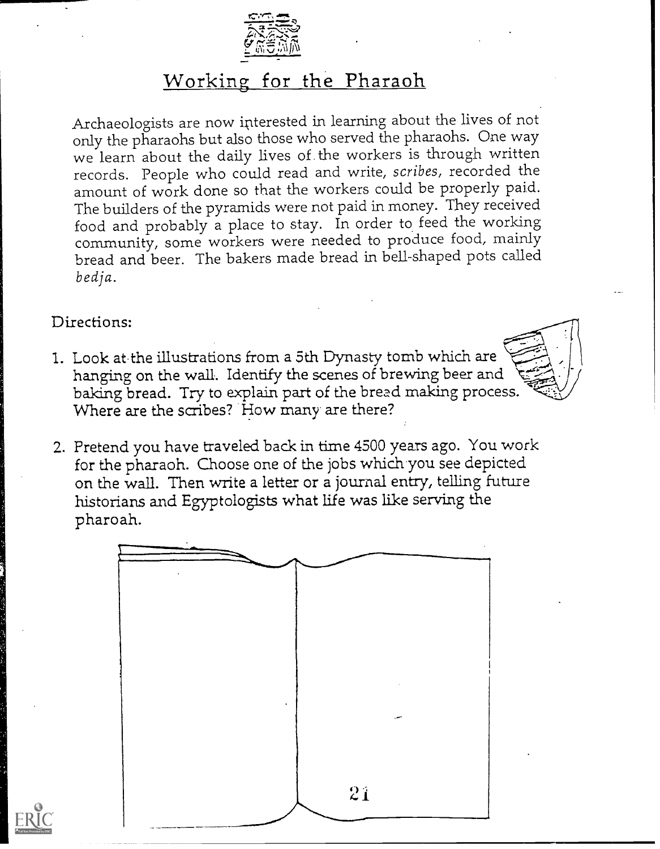

## Working for the Pharaoh

Archaeologists are now interested in learning about the lives of not only the pharaohs but also those who served the pharaohs. One way we learn about the daily lives of the workers is through written records. People who could read and write, scribes, recorded the amount of work done so that the workers could be properly paid. The builders of the pyramids were not paid in money. They received food and probably a place to stay. In order to feed the working community, some workers were needed to produce food, mainly bread and beer. The bakers made bread in bell-shaped pots called bedja.

### Directions:

- 1. Look at.the illustrations from a 5th Dynasty tomb which are hanging on the wall. Identify the scenes of brewing beer and baking bread. Try to explain part of the bread making process. Where are the scribes? How many are there?
- 2. Pretend you have traveled back in time 4500 years ago. You work for the pharaoh. Choose one of the jobs which you see depicted on the wall. Then write a letter or a journal entry, telling future historians and Egyptologists what life was like serving the pharoah.